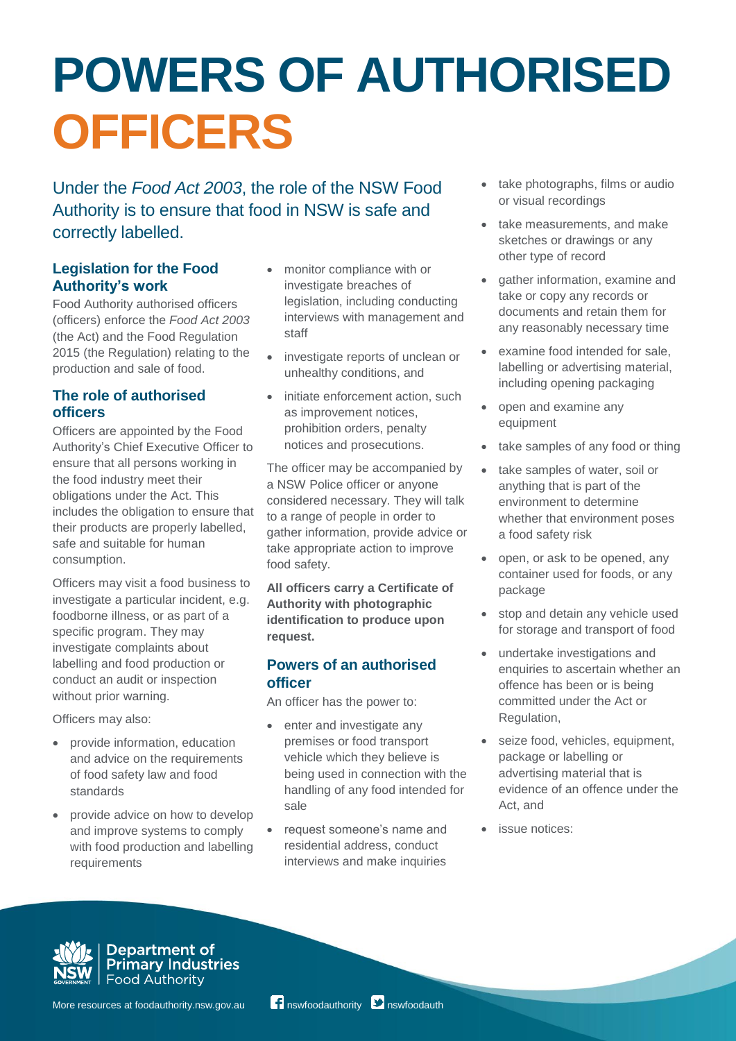# **POWERS OF AUTHORISED OFFICERS**

Under the *Food Act 2003*, the role of the NSW Food Authority is to ensure that food in NSW is safe and correctly labelled.

# **Legislation for the Food Authority's work**

Food Authority authorised officers (officers) enforce the *Food Act 2003* (the Act) and the Food Regulation 2015 (the Regulation) relating to the production and sale of food.

# **The role of authorised officers**

Officers are appointed by the Food Authority's Chief Executive Officer to ensure that all persons working in the food industry meet their obligations under the Act. This includes the obligation to ensure that their products are properly labelled, safe and suitable for human consumption.

Officers may visit a food business to investigate a particular incident, e.g. foodborne illness, or as part of a specific program. They may investigate complaints about labelling and food production or conduct an audit or inspection without prior warning.

Officers may also:

- provide information, education and advice on the requirements of food safety law and food standards
- provide advice on how to develop and improve systems to comply with food production and labelling requirements
- monitor compliance with or investigate breaches of legislation, including conducting interviews with management and staff
- investigate reports of unclean or unhealthy conditions, and
- initiate enforcement action, such as improvement notices, prohibition orders, penalty notices and prosecutions.

The officer may be accompanied by a NSW Police officer or anyone considered necessary. They will talk to a range of people in order to gather information, provide advice or take appropriate action to improve food safety.

**All officers carry a Certificate of Authority with photographic identification to produce upon request.** 

# **Powers of an authorised officer**

An officer has the power to:

- enter and investigate any premises or food transport vehicle which they believe is being used in connection with the handling of any food intended for sale
- request someone's name and residential address, conduct interviews and make inquiries
- take photographs, films or audio or visual recordings
- take measurements, and make sketches or drawings or any other type of record
- gather information, examine and take or copy any records or documents and retain them for any reasonably necessary time
- examine food intended for sale, labelling or advertising material, including opening packaging
- open and examine any equipment
- take samples of any food or thing
- take samples of water, soil or anything that is part of the environment to determine whether that environment poses a food safety risk
- open, or ask to be opened, any container used for foods, or any package
- stop and detain any vehicle used for storage and transport of food
- undertake investigations and enquiries to ascertain whether an offence has been or is being committed under the Act or Regulation,
- seize food, vehicles, equipment, package or labelling or advertising material that is evidence of an offence under the Act, and
- issue notices:



Department of<br>Primary Industries Food Authority